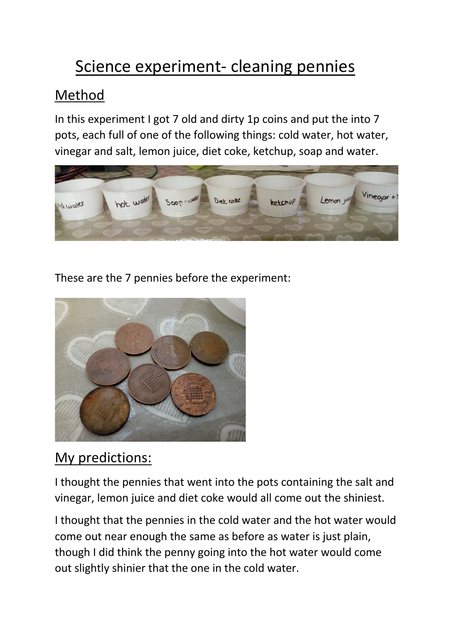## Science experiment- cleaning pennies

## Method

In this experiment I got 7 old and dirty 1p coins and put the into 7 pots, each full of one of the following things: cold water, hot water, vinegar and salt, lemon juice, diet coke, ketchup, soap and water.



These are the 7 pennies before the experiment:



## My predictions:

I thought the pennies that went into the pots containing the salt and vinegar, lemon juice and diet coke would all come out the shiniest.

I thought that the pennies in the cold water and the hot water would come out near enough the same as before as water is just plain, though I did think the penny going into the hot water would come out slightly shinier that the one in the cold water.